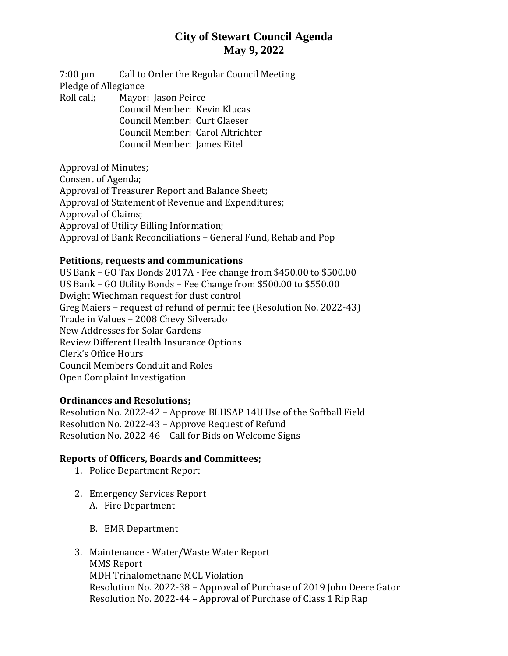## **City of Stewart Council Agenda May 9, 2022**

7:00 pm Call to Order the Regular Council Meeting Pledge of Allegiance Roll call; Mayor: Jason Peirce Council Member: Kevin Klucas

Council Member: Curt Glaeser Council Member: Carol Altrichter Council Member: James Eitel

Approval of Minutes; Consent of Agenda; Approval of Treasurer Report and Balance Sheet; Approval of Statement of Revenue and Expenditures; Approval of Claims; Approval of Utility Billing Information; Approval of Bank Reconciliations – General Fund, Rehab and Pop

#### **Petitions, requests and communications**

US Bank – GO Tax Bonds 2017A - Fee change from \$450.00 to \$500.00 US Bank – GO Utility Bonds – Fee Change from \$500.00 to \$550.00 Dwight Wiechman request for dust control Greg Maiers – request of refund of permit fee (Resolution No. 2022-43) Trade in Values – 2008 Chevy Silverado New Addresses for Solar Gardens Review Different Health Insurance Options Clerk's Office Hours Council Members Conduit and Roles Open Complaint Investigation

### **Ordinances and Resolutions;**

Resolution No. 2022-42 – Approve BLHSAP 14U Use of the Softball Field Resolution No. 2022-43 – Approve Request of Refund Resolution No. 2022-46 – Call for Bids on Welcome Signs

### **Reports of Officers, Boards and Committees;**

- 1. Police Department Report
- 2. Emergency Services Report
	- A. Fire Department
	- B. EMR Department
- 3. Maintenance Water/Waste Water Report MMS Report MDH Trihalomethane MCL Violation Resolution No. 2022-38 – Approval of Purchase of 2019 John Deere Gator Resolution No. 2022-44 – Approval of Purchase of Class 1 Rip Rap